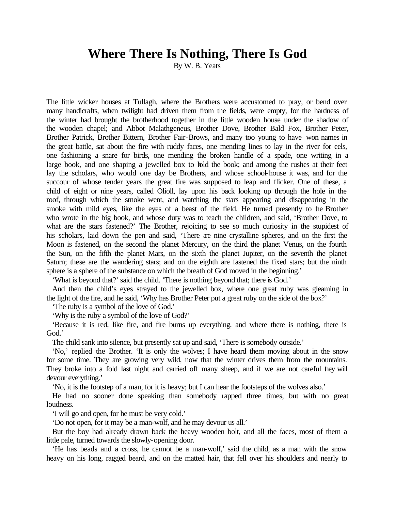## **Where There Is Nothing, There Is God**

By W. B. Yeats

The little wicker houses at Tullagh, where the Brothers were accustomed to pray, or bend over many handicrafts, when twilight had driven them from the fields, were empty, for the hardness of the winter had brought the brotherhood together in the little wooden house under the shadow of the wooden chapel; and Abbot Malathgeneus, Brother Dove, Brother Bald Fox, Brother Peter, Brother Patrick, Brother Bittern, Brother Fair-Brows, and many too young to have won names in the great battle, sat about the fire with ruddy faces, one mending lines to lay in the river for eels, one fashioning a snare for birds, one mending the broken handle of a spade, one writing in a large book, and one shaping a jewelled box to hold the book; and among the rushes at their feet lay the scholars, who would one day be Brothers, and whose school-house it was, and for the succour of whose tender years the great fire was supposed to leap and flicker. One of these, a child of eight or nine years, called Olioll, lay upon his back looking up through the hole in the roof, through which the smoke went, and watching the stars appearing and disappearing in the smoke with mild eyes, like the eyes of a beast of the field. He turned presently to the Brother who wrote in the big book, and whose duty was to teach the children, and said, 'Brother Dove, to what are the stars fastened?' The Brother, rejoicing to see so much curiosity in the stupidest of his scholars, laid down the pen and said, 'There are nine crystalline spheres, and on the first the Moon is fastened, on the second the planet Mercury, on the third the planet Venus, on the fourth the Sun, on the fifth the planet Mars, on the sixth the planet Jupiter, on the seventh the planet Saturn; these are the wandering stars; and on the eighth are fastened the fixed stars; but the ninth sphere is a sphere of the substance on which the breath of God moved in the beginning.'

'What is beyond that?' said the child. 'There is nothing beyond that; there is God.'

And then the child's eyes strayed to the jewelled box, where one great ruby was gleaming in the light of the fire, and he said, 'Why has Brother Peter put a great ruby on the side of the box?'

'The ruby is a symbol of the love of God.'

'Why is the ruby a symbol of the love of God?'

'Because it is red, like fire, and fire burns up everything, and where there is nothing, there is God.'

The child sank into silence, but presently sat up and said, 'There is somebody outside.'

'No,' replied the Brother. 'It is only the wolves; I have heard them moving about in the snow for some time. They are growing very wild, now that the winter drives them from the mountains. They broke into a fold last night and carried off many sheep, and if we are not careful they will devour everything.'

'No, it is the footstep of a man, for it is heavy; but I can hear the footsteps of the wolves also.'

He had no sooner done speaking than somebody rapped three times, but with no great loudness.

'I will go and open, for he must be very cold.'

'Do not open, for it may be a man-wolf, and he may devour us all.'

But the boy had already drawn back the heavy wooden bolt, and all the faces, most of them a little pale, turned towards the slowly-opening door.

'He has beads and a cross, he cannot be a man-wolf,' said the child, as a man with the snow heavy on his long, ragged beard, and on the matted hair, that fell over his shoulders and nearly to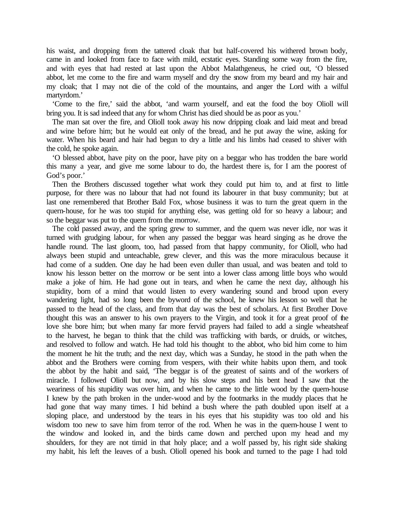his waist, and dropping from the tattered cloak that but half-covered his withered brown body, came in and looked from face to face with mild, ecstatic eyes. Standing some way from the fire, and with eyes that had rested at last upon the Abbot Malathgeneus, he cried out, 'O blessed abbot, let me come to the fire and warm myself and dry the snow from my beard and my hair and my cloak; that I may not die of the cold of the mountains, and anger the Lord with a wilful martyrdom.'

'Come to the fire,' said the abbot, 'and warm yourself, and eat the food the boy Olioll will bring you. It is sad indeed that any for whom Christ has died should be as poor as you.'

The man sat over the fire, and Olioll took away his now dripping cloak and laid meat and bread and wine before him; but he would eat only of the bread, and he put away the wine, asking for water. When his beard and hair had begun to dry a little and his limbs had ceased to shiver with the cold, he spoke again.

'O blessed abbot, have pity on the poor, have pity on a beggar who has trodden the bare world this many a year, and give me some labour to do, the hardest there is, for I am the poorest of God's poor.'

Then the Brothers discussed together what work they could put him to, and at first to little purpose, for there was no labour that had not found its labourer in that busy community; but at last one remembered that Brother Bald Fox, whose business it was to turn the great quern in the quern-house, for he was too stupid for anything else, was getting old for so heavy a labour; and so the beggar was put to the quern from the morrow.

The cold passed away, and the spring grew to summer, and the quern was never idle, nor was it turned with grudging labour, for when any passed the beggar was heard singing as he drove the handle round. The last gloom, too, had passed from that happy community, for Olioll, who had always been stupid and unteachable, grew clever, and this was the more miraculous because it had come of a sudden. One day he had been even duller than usual, and was beaten and told to know his lesson better on the morrow or be sent into a lower class among little boys who would make a joke of him. He had gone out in tears, and when he came the next day, although his stupidity, born of a mind that would listen to every wandering sound and brood upon every wandering light, had so long been the byword of the school, he knew his lesson so well that he passed to the head of the class, and from that day was the best of scholars. At first Brother Dove thought this was an answer to his own prayers to the Virgin, and took it for a great proof of the love she bore him; but when many far more fervid prayers had failed to add a single wheatsheaf to the harvest, he began to think that the child was trafficking with bards, or druids, or witches, and resolved to follow and watch. He had told his thought to the abbot, who bid him come to him the moment he hit the truth; and the next day, which was a Sunday, he stood in the path when the abbot and the Brothers were coming from vespers, with their white habits upon them, and took the abbot by the habit and said, 'The beggar is of the greatest of saints and of the workers of miracle. I followed Olioll but now, and by his slow steps and his bent head I saw that the weariness of his stupidity was over him, and when he came to the little wood by the quern-house I knew by the path broken in the under-wood and by the footmarks in the muddy places that he had gone that way many times. I hid behind a bush where the path doubled upon itself at a sloping place, and understood by the tears in his eyes that his stupidity was too old and his wisdom too new to save him from terror of the rod. When he was in the quern-house I went to the window and looked in, and the birds came down and perched upon my head and my shoulders, for they are not timid in that holy place; and a wolf passed by, his right side shaking my habit, his left the leaves of a bush. Olioll opened his book and turned to the page I had told